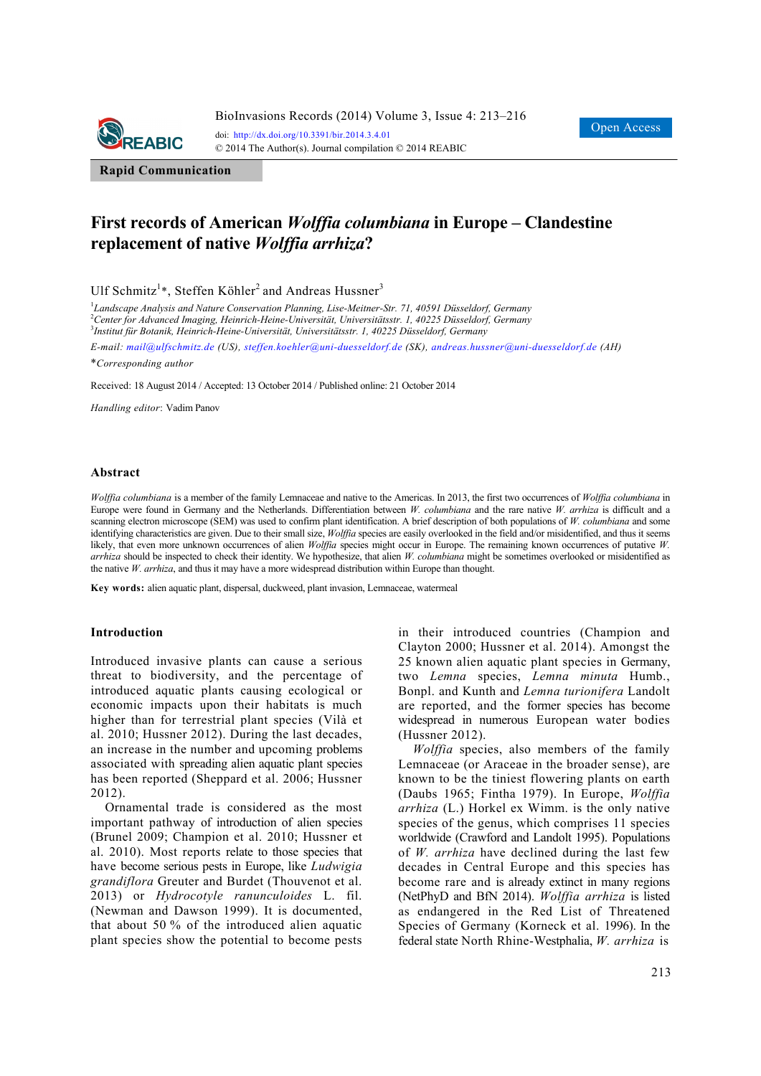

**Rapid Communication**

# **First records of American** *Wolffia columbiana* **in Europe – Clandestine replacement of native** *Wolffia arrhiza***?**

Ulf Schmitz<sup>1</sup>\*, Steffen Köhler<sup>2</sup> and Andreas Hussner<sup>3</sup>

1 *Landscape Analysis and Nature Conservation Planning, Lise-Meitner-Str. 71, 40591 Düsseldorf, Germany* 2 *Center for Advanced Imaging, Heinrich-Heine-Universität, Universitätsstr. 1, 40225 Düsseldorf, Germany* 3 *Institut für Botanik, Heinrich-Heine-Universität, Universitätsstr. 1, 40225 Düsseldorf, Germany* 

*E-mail: mail@ulfschmitz.de (US), steffen.koehler@uni-duesseldorf.de (SK), andreas.hussner@uni-duesseldorf.de (AH)*

\**Corresponding author* 

Received: 18 August 2014 / Accepted: 13 October 2014 / Published online: 21 October 2014

*Handling editor*: Vadim Panov

#### **Abstract**

*Wolffia columbiana* is a member of the family Lemnaceae and native to the Americas. In 2013, the first two occurrences of *Wolffia columbiana* in Europe were found in Germany and the Netherlands. Differentiation between *W. columbiana* and the rare native *W. arrhiza* is difficult and a scanning electron microscope (SEM) was used to confirm plant identification. A brief description of both populations of *W. columbiana* and some identifying characteristics are given. Due to their small size, *Wolffia* species are easily overlooked in the field and/or misidentified, and thus it seems likely, that even more unknown occurrences of alien *Wolffia* species might occur in Europe. The remaining known occurrences of putative *W. arrhiza* should be inspected to check their identity. We hypothesize, that alien *W. columbiana* might be sometimes overlooked or misidentified as the native *W. arrhiza*, and thus it may have a more widespread distribution within Europe than thought.

**Key words:** alien aquatic plant, dispersal, duckweed, plant invasion, Lemnaceae, watermeal

## **Introduction**

Introduced invasive plants can cause a serious threat to biodiversity, and the percentage of introduced aquatic plants causing ecological or economic impacts upon their habitats is much higher than for terrestrial plant species (Vilà et al. 2010; Hussner 2012). During the last decades, an increase in the number and upcoming problems associated with spreading alien aquatic plant species has been reported (Sheppard et al. 2006; Hussner 2012).

Ornamental trade is considered as the most important pathway of introduction of alien species (Brunel 2009; Champion et al. 2010; Hussner et al. 2010). Most reports relate to those species that have become serious pests in Europe, like *Ludwigia grandiflora* Greuter and Burdet (Thouvenot et al. 2013) or *Hydrocotyle ranunculoides* L. fil. (Newman and Dawson 1999). It is documented, that about 50 % of the introduced alien aquatic plant species show the potential to become pests in their introduced countries (Champion and Clayton 2000; Hussner et al. 2014). Amongst the 25 known alien aquatic plant species in Germany, two *Lemna* species, *Lemna minuta* Humb., Bonpl. and Kunth and *Lemna turionifera* Landolt are reported, and the former species has become widespread in numerous European water bodies (Hussner 2012).

*Wolffia* species, also members of the family Lemnaceae (or Araceae in the broader sense), are known to be the tiniest flowering plants on earth (Daubs 1965; Fintha 1979). In Europe, *Wolffia arrhiza* (L.) Horkel ex Wimm. is the only native species of the genus, which comprises 11 species worldwide (Crawford and Landolt 1995). Populations of *W. arrhiza* have declined during the last few decades in Central Europe and this species has become rare and is already extinct in many regions (NetPhyD and BfN 2014). *Wolffia arrhiza* is listed as endangered in the Red List of Threatened Species of Germany (Korneck et al. 1996). In the federal state North Rhine-Westphalia, *W. arrhiza* is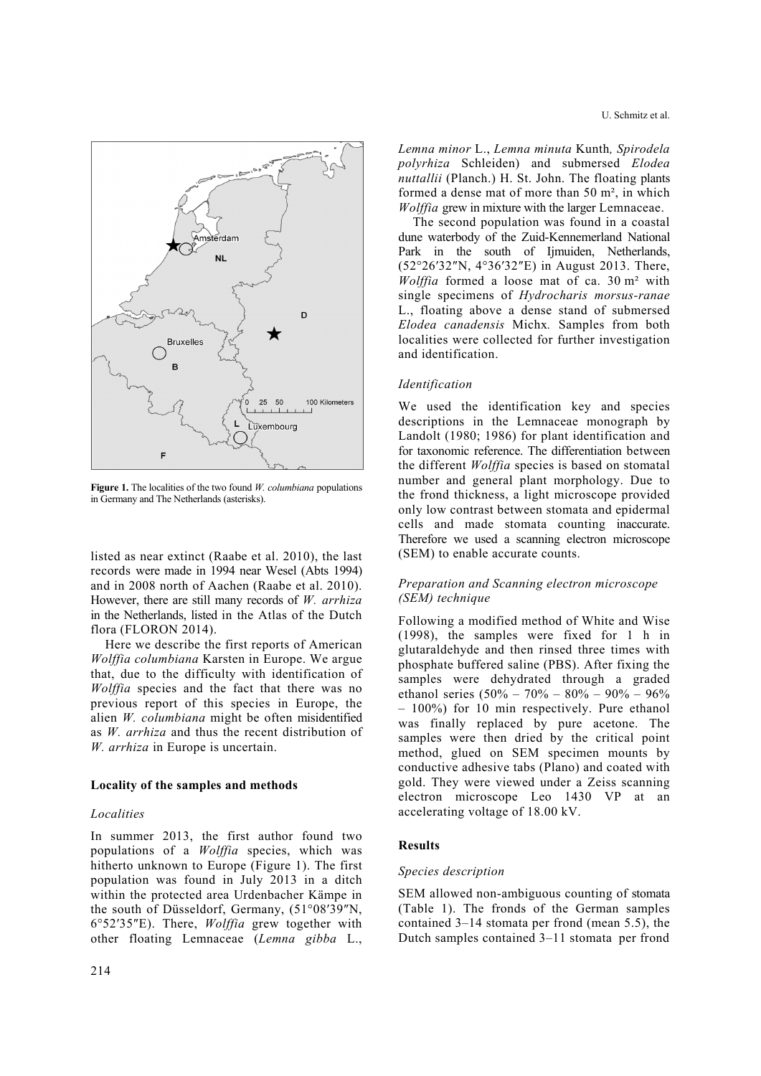



**Figure 1.** The localities of the two found *W. columbiana* populations in Germany and The Netherlands (asterisks).

listed as near extinct (Raabe et al. 2010), the last records were made in 1994 near Wesel (Abts 1994) and in 2008 north of Aachen (Raabe et al. 2010). However, there are still many records of *W. arrhiza* in the Netherlands, listed in the Atlas of the Dutch flora (FLORON 2014).

Here we describe the first reports of American *Wolffia columbiana* Karsten in Europe. We argue that, due to the difficulty with identification of *Wolffia* species and the fact that there was no previous report of this species in Europe, the alien *W. columbiana* might be often misidentified as *W. arrhiza* and thus the recent distribution of *W. arrhiza* in Europe is uncertain.

# **Locality of the samples and methods**

# *Localities*

In summer 2013, the first author found two populations of a *Wolffia* species, which was hitherto unknown to Europe (Figure 1). The first population was found in July 2013 in a ditch within the protected area Urdenbacher Kämpe in the south of Düsseldorf, Germany, (51°08′39″N, 6°52′35″E). There, *Wolffia* grew together with other floating Lemnaceae (*Lemna gibba* L.,

*Lemna minor* L., *Lemna minuta* Kunth*, Spirodela polyrhiza* Schleiden) and submersed *Elodea nuttallii* (Planch.) H. St. John. The floating plants formed a dense mat of more than 50 m², in which *Wolffia* grew in mixture with the larger Lemnaceae.

The second population was found in a coastal dune waterbody of the Zuid-Kennemerland National Park in the south of Ijmuiden, Netherlands, (52°26′32″N, 4°36′32″E) in August 2013. There, *Wolffia* formed a loose mat of ca. 30 m² with single specimens of *Hydrocharis morsus-ranae* L., floating above a dense stand of submersed *Elodea canadensis* Michx*.* Samples from both localities were collected for further investigation and identification.

# *Identification*

We used the identification key and species descriptions in the Lemnaceae monograph by Landolt (1980; 1986) for plant identification and for taxonomic reference. The differentiation between the different *Wolffia* species is based on stomatal number and general plant morphology. Due to the frond thickness, a light microscope provided only low contrast between stomata and epidermal cells and made stomata counting inaccurate. Therefore we used a scanning electron microscope (SEM) to enable accurate counts.

# *Preparation and Scanning electron microscope (SEM) technique*

Following a modified method of White and Wise (1998), the samples were fixed for 1 h in glutaraldehyde and then rinsed three times with phosphate buffered saline (PBS). After fixing the samples were dehydrated through a graded ethanol series  $(50\% - 70\% - 80\% - 90\% - 96\%$ – 100%) for 10 min respectively. Pure ethanol was finally replaced by pure acetone. The samples were then dried by the critical point method, glued on SEM specimen mounts by conductive adhesive tabs (Plano) and coated with gold. They were viewed under a Zeiss scanning electron microscope Leo 1430 VP at an accelerating voltage of 18.00 kV.

# **Results**

# *Species description*

SEM allowed non-ambiguous counting of stomata (Table 1). The fronds of the German samples contained 3–14 stomata per frond (mean 5.5), the Dutch samples contained 3–11 stomata per frond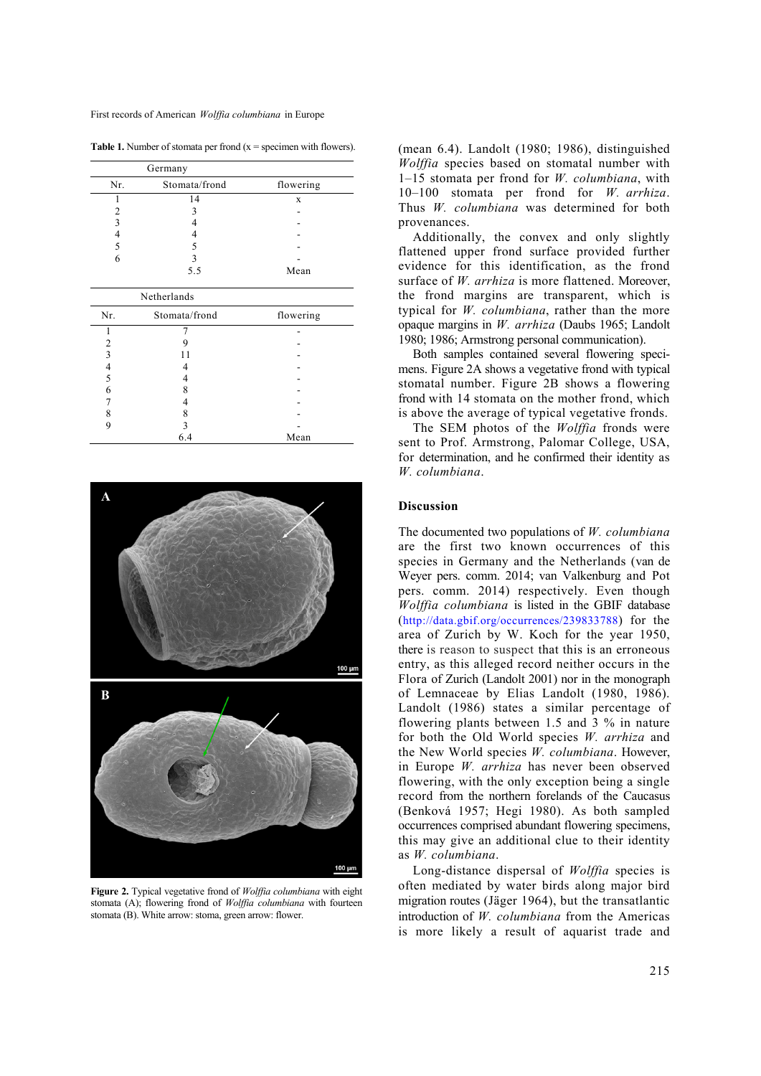**Table 1.** Number of stomata per frond  $(x =$  specimen with flowers).

| Germany |               |           |
|---------|---------------|-----------|
| Nr.     | Stomata/frond | flowering |
|         | 14            | X         |
|         |               |           |
|         |               |           |
|         |               |           |
|         |               |           |
|         |               |           |
|         | 55            | Mean      |

| Netherlands |               |           |  |
|-------------|---------------|-----------|--|
| Nr.         | Stomata/frond | flowering |  |
|             |               |           |  |
| 2           |               |           |  |
| ٩           |               |           |  |
|             |               |           |  |
| 5           |               |           |  |
| 6           |               |           |  |
|             |               |           |  |
|             |               |           |  |
| q           |               |           |  |
|             | 6.4           | Mean      |  |



**Figure 2.** Typical vegetative frond of *Wolffia columbiana* with eight stomata (A); flowering frond of *Wolffia columbiana* with fourteen stomata (B). White arrow: stoma, green arrow: flower.

(mean 6.4). Landolt (1980; 1986), distinguished *Wolffia* species based on stomatal number with 1–15 stomata per frond for *W. columbiana*, with 10–100 stomata per frond for *W. arrhiza*. Thus *W. columbiana* was determined for both provenances.

Additionally, the convex and only slightly flattened upper frond surface provided further evidence for this identification, as the frond surface of *W. arrhiza* is more flattened. Moreover, the frond margins are transparent, which is typical for *W. columbiana*, rather than the more opaque margins in *W. arrhiza* (Daubs 1965; Landolt 1980; 1986; Armstrong personal communication).

Both samples contained several flowering specimens. Figure 2A shows a vegetative frond with typical stomatal number. Figure 2B shows a flowering frond with 14 stomata on the mother frond, which is above the average of typical vegetative fronds.

The SEM photos of the *Wolffia* fronds were sent to Prof. Armstrong, Palomar College, USA, for determination, and he confirmed their identity as *W. columbiana*.

## **Discussion**

The documented two populations of *W. columbiana* are the first two known occurrences of this species in Germany and the Netherlands (van de Weyer pers. comm. 2014; van Valkenburg and Pot pers. comm. 2014) respectively. Even though *Wolffia columbiana* is listed in the GBIF database (http://data.gbif.org/occurrences/239833788) for the area of Zurich by W. Koch for the year 1950, there is reason to suspect that this is an erroneous entry, as this alleged record neither occurs in the Flora of Zurich (Landolt 2001) nor in the monograph of Lemnaceae by Elias Landolt (1980, 1986). Landolt (1986) states a similar percentage of flowering plants between 1.5 and 3 % in nature for both the Old World species *W. arrhiza* and the New World species *W. columbiana*. However, in Europe *W. arrhiza* has never been observed flowering, with the only exception being a single record from the northern forelands of the Caucasus (Benková 1957; Hegi 1980). As both sampled occurrences comprised abundant flowering specimens, this may give an additional clue to their identity as *W. columbiana*.

Long-distance dispersal of *Wolffia* species is often mediated by water birds along major bird migration routes (Jäger 1964), but the transatlantic introduction of *W. columbiana* from the Americas is more likely a result of aquarist trade and